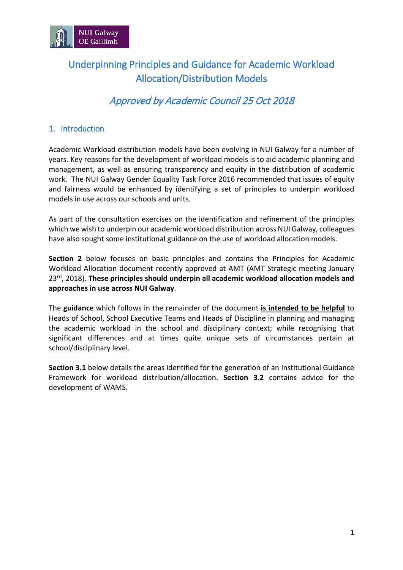

# Underpinning Principles and Guidance for Academic Workload Allocation/Distribution Models

## Approved by Academic Council 25 Oct 2018

#### 1. Introduction

Academic Workload distribution models have been evolving in NUI Galway for a number of years. Key reasons for the development of workload models is to aid academic planning and management, as well as ensuring transparency and equity in the distribution of academic work. The NUI Galway Gender Equality Task Force 2016 recommended that issues of equity and fairness would be enhanced by identifying a set of principles to underpin workload models in use across our schools and units.

As part of the consultation exercises on the identification and refinement of the principles which we wish to underpin our academic workload distribution across NUI Galway, colleagues have also sought some institutional guidance on the use of workload allocation models.

**Section 2** below focuses on basic principles and contains the Principles for Academic Workload Allocation document recently approved at AMT (AMT Strategic meeting January 23rd, 2018). **These principles should underpin all academic workload allocation models and approaches in use across NUI Galway**.

The **guidance** which follows in the remainder of the document **is intended to be helpful** to Heads of School, School Executive Teams and Heads of Discipline in planning and managing the academic workload in the school and disciplinary context; while recognising that significant differences and at times quite unique sets of circumstances pertain at school/disciplinary level.

**Section 3.1** below details the areas identified for the generation of an Institutional Guidance Framework for workload distribution/allocation. **Section 3.2** contains advice for the development of WAMS.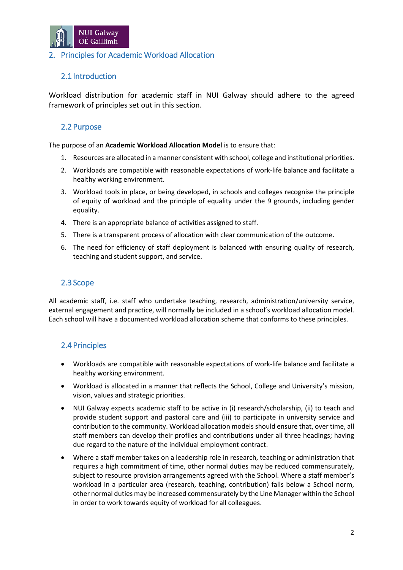

#### 2. Principles for Academic Workload Allocation

### 2.1 Introduction

Workload distribution for academic staff in NUI Galway should adhere to the agreed framework of principles set out in this section.

#### 2.2 Purpose

The purpose of an **Academic Workload Allocation Model** is to ensure that:

- 1. Resources are allocated in a manner consistent with school, college and institutional priorities.
- 2. Workloads are compatible with reasonable expectations of work-life balance and facilitate a healthy working environment.
- 3. Workload tools in place, or being developed, in schools and colleges recognise the principle of equity of workload and the principle of equality under the 9 grounds, including gender equality.
- 4. There is an appropriate balance of activities assigned to staff.
- 5. There is a transparent process of allocation with clear communication of the outcome.
- 6. The need for efficiency of staff deployment is balanced with ensuring quality of research, teaching and student support, and service.

#### 2.3 Scope

All academic staff, i.e. staff who undertake teaching, research, administration/university service, external engagement and practice, will normally be included in a school's workload allocation model. Each school will have a documented workload allocation scheme that conforms to these principles.

#### 2.4 Principles

- Workloads are compatible with reasonable expectations of work-life balance and facilitate a healthy working environment.
- Workload is allocated in a manner that reflects the School, College and University's mission, vision, values and strategic priorities.
- NUI Galway expects academic staff to be active in (i) research/scholarship, (ii) to teach and provide student support and pastoral care and (iii) to participate in university service and contribution to the community. Workload allocation models should ensure that, over time, all staff members can develop their profiles and contributions under all three headings; having due regard to the nature of the individual employment contract.
- Where a staff member takes on a leadership role in research, teaching or administration that requires a high commitment of time, other normal duties may be reduced commensurately, subject to resource provision arrangements agreed with the School. Where a staff member's workload in a particular area (research, teaching, contribution) falls below a School norm, other normal duties may be increased commensurately by the Line Manager within the School in order to work towards equity of workload for all colleagues.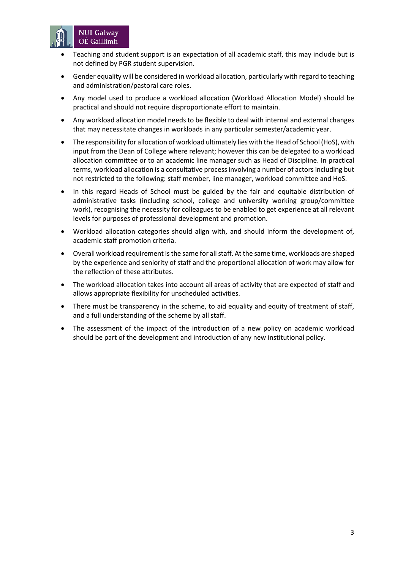

- Teaching and student support is an expectation of all academic staff, this may include but is not defined by PGR student supervision.
- Gender equality will be considered in workload allocation, particularly with regard to teaching and administration/pastoral care roles.
- Any model used to produce a workload allocation (Workload Allocation Model) should be practical and should not require disproportionate effort to maintain.
- Any workload allocation model needs to be flexible to deal with internal and external changes that may necessitate changes in workloads in any particular semester/academic year.
- The responsibility for allocation of workload ultimately lies with the Head of School (HoS), with input from the Dean of College where relevant; however this can be delegated to a workload allocation committee or to an academic line manager such as Head of Discipline. In practical terms, workload allocation is a consultative process involving a number of actors including but not restricted to the following: staff member, line manager, workload committee and HoS.
- In this regard Heads of School must be guided by the fair and equitable distribution of administrative tasks (including school, college and university working group/committee work), recognising the necessity for colleagues to be enabled to get experience at all relevant levels for purposes of professional development and promotion.
- Workload allocation categories should align with, and should inform the development of, academic staff promotion criteria.
- Overall workload requirement is the same for all staff. At the same time, workloads are shaped by the experience and seniority of staff and the proportional allocation of work may allow for the reflection of these attributes.
- The workload allocation takes into account all areas of activity that are expected of staff and allows appropriate flexibility for unscheduled activities.
- There must be transparency in the scheme, to aid equality and equity of treatment of staff, and a full understanding of the scheme by all staff.
- The assessment of the impact of the introduction of a new policy on academic workload should be part of the development and introduction of any new institutional policy.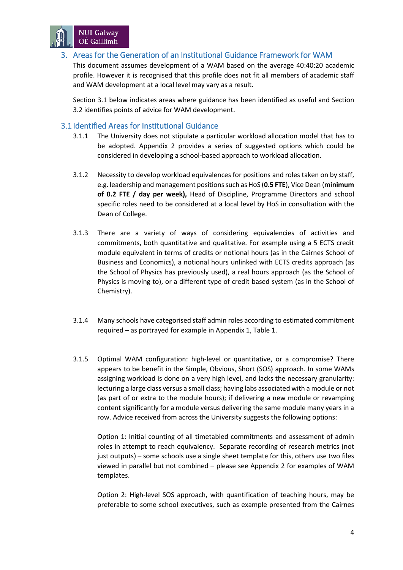

#### 3. Areas for the Generation of an Institutional Guidance Framework for WAM

This document assumes development of a WAM based on the average 40:40:20 academic profile. However it is recognised that this profile does not fit all members of academic staff and WAM development at a local level may vary as a result.

Section 3.1 below indicates areas where guidance has been identified as useful and Section 3.2 identifies points of advice for WAM development.

#### 3.1 Identified Areas for Institutional Guidance

- 3.1.1 The University does not stipulate a particular workload allocation model that has to be adopted. Appendix 2 provides a series of suggested options which could be considered in developing a school-based approach to workload allocation.
- 3.1.2 Necessity to develop workload equivalences for positions and roles taken on by staff, e.g. leadership and management positionssuch as HoS (**0.5 FTE**), Vice Dean (**minimum of 0.2 FTE / day per week),** Head of Discipline, Programme Directors and school specific roles need to be considered at a local level by HoS in consultation with the Dean of College.
- 3.1.3 There are a variety of ways of considering equivalencies of activities and commitments, both quantitative and qualitative. For example using a 5 ECTS credit module equivalent in terms of credits or notional hours (as in the Cairnes School of Business and Economics), a notional hours unlinked with ECTS credits approach (as the School of Physics has previously used), a real hours approach (as the School of Physics is moving to), or a different type of credit based system (as in the School of Chemistry).
- 3.1.4 Many schools have categorised staff admin roles according to estimated commitment required – as portrayed for example in Appendix 1, Table 1.
- 3.1.5 Optimal WAM configuration: high-level or quantitative, or a compromise? There appears to be benefit in the Simple, Obvious, Short (SOS) approach. In some WAMs assigning workload is done on a very high level, and lacks the necessary granularity: lecturing a large class versus a small class; having labs associated with a module or not (as part of or extra to the module hours); if delivering a new module or revamping content significantly for a module versus delivering the same module many years in a row. Advice received from across the University suggests the following options:

Option 1: Initial counting of all timetabled commitments and assessment of admin roles in attempt to reach equivalency. Separate recording of research metrics (not just outputs) – some schools use a single sheet template for this, others use two files viewed in parallel but not combined – please see Appendix 2 for examples of WAM templates.

Option 2: High-level SOS approach, with quantification of teaching hours, may be preferable to some school executives, such as example presented from the Cairnes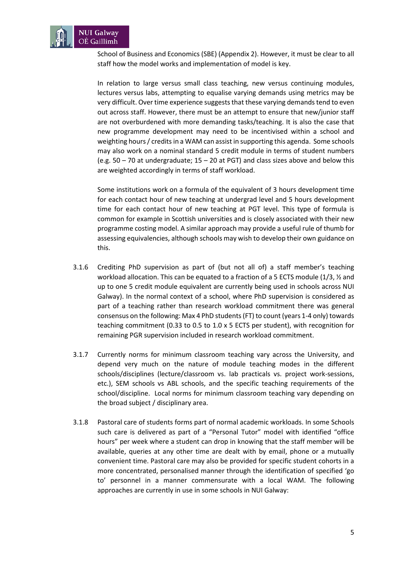

School of Business and Economics (SBE) (Appendix 2). However, it must be clear to all staff how the model works and implementation of model is key.

In relation to large versus small class teaching, new versus continuing modules, lectures versus labs, attempting to equalise varying demands using metrics may be very difficult. Over time experience suggeststhat these varying demands tend to even out across staff. However, there must be an attempt to ensure that new/junior staff are not overburdened with more demanding tasks/teaching. It is also the case that new programme development may need to be incentivised within a school and weighting hours / credits in a WAM can assist in supporting this agenda. Some schools may also work on a nominal standard 5 credit module in terms of student numbers (e.g.  $50 - 70$  at undergraduate;  $15 - 20$  at PGT) and class sizes above and below this are weighted accordingly in terms of staff workload.

Some institutions work on a formula of the equivalent of 3 hours development time for each contact hour of new teaching at undergrad level and 5 hours development time for each contact hour of new teaching at PGT level. This type of formula is common for example in Scottish universities and is closely associated with their new programme costing model. A similar approach may provide a useful rule of thumb for assessing equivalencies, although schools may wish to develop their own guidance on this.

- 3.1.6 Crediting PhD supervision as part of (but not all of) a staff member's teaching workload allocation. This can be equated to a fraction of a 5 ECTS module (1/3, ½ and up to one 5 credit module equivalent are currently being used in schools across NUI Galway). In the normal context of a school, where PhD supervision is considered as part of a teaching rather than research workload commitment there was general consensus on the following: Max 4 PhD students (FT) to count (years 1-4 only) towards teaching commitment (0.33 to 0.5 to 1.0 x 5 ECTS per student), with recognition for remaining PGR supervision included in research workload commitment.
- 3.1.7 Currently norms for minimum classroom teaching vary across the University, and depend very much on the nature of module teaching modes in the different schools/disciplines (lecture/classroom vs. lab practicals vs. project work-sessions, etc.), SEM schools vs ABL schools, and the specific teaching requirements of the school/discipline. Local norms for minimum classroom teaching vary depending on the broad subject / disciplinary area.
- 3.1.8 Pastoral care of students forms part of normal academic workloads. In some Schools such care is delivered as part of a "Personal Tutor" model with identified "office hours" per week where a student can drop in knowing that the staff member will be available, queries at any other time are dealt with by email, phone or a mutually convenient time. Pastoral care may also be provided for specific student cohorts in a more concentrated, personalised manner through the identification of specified 'go to' personnel in a manner commensurate with a local WAM. The following approaches are currently in use in some schools in NUI Galway: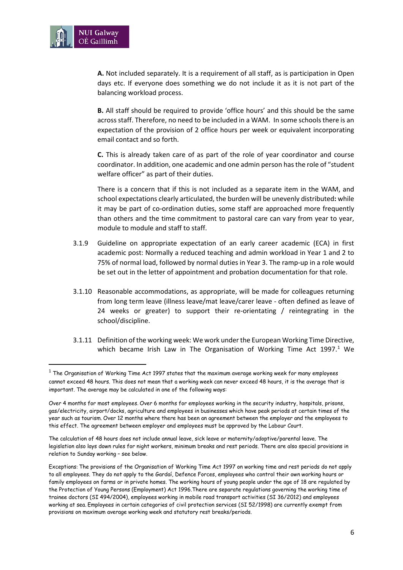

**A.** Not included separately. It is a requirement of all staff, as is participation in Open days etc. If everyone does something we do not include it as it is not part of the balancing workload process.

**B.** All staff should be required to provide 'office hours' and this should be the same across staff. Therefore, no need to be included in a WAM. In some schools there is an expectation of the provision of 2 office hours per week or equivalent incorporating email contact and so forth.

**C.** This is already taken care of as part of the role of year coordinator and course coordinator. In addition, one academic and one admin person has the role of "student welfare officer" as part of their duties.

There is a concern that if this is not included as a separate item in the WAM, and school expectations clearly articulated, the burden will be unevenly distributed**:** while it may be part of co-ordination duties, some staff are approached more frequently than others and the time commitment to pastoral care can vary from year to year, module to module and staff to staff.

- 3.1.9 Guideline on appropriate expectation of an early career academic (ECA) in first academic post: Normally a reduced teaching and admin workload in Year 1 and 2 to 75% of normal load, followed by normal duties in Year 3. The ramp-up in a role would be set out in the letter of appointment and probation documentation for that role.
- 3.1.10 Reasonable accommodations, as appropriate, will be made for colleagues returning from long term leave (illness leave/mat leave/carer leave - often defined as leave of 24 weeks or greater) to support their re-orientating / reintegrating in the school/discipline.
- 3.1.11 Definition of the working week: We work under the European Working Time Directive, which became Irish Law in The Organisation of Working Time Act [1](#page-5-0)997.<sup>1</sup> We

The calculation of 48 hours does not include annual leave, sick leave or maternity/adoptive/parental leave. The legislation also lays down rules for night workers, minimum breaks and rest periods. There are also special provisions in relation to Sunday working – see below.

<span id="page-5-0"></span> $1$  The Organisation of Working Time Act 1997 states that the maximum average working week for many employees cannot exceed 48 hours. This does not mean that a working week can never exceed 48 hours, it is the average that is important. The average may be calculated in one of the following ways:

Over 4 months for most employees. Over 6 months for employees working in the security industry, hospitals, prisons, gas/electricity, airport/docks, agriculture and employees in businesses which have peak periods at certain times of the year such as tourism. Over 12 months where there has been an agreement between the employer and the employees to this effect. The agreement between employer and employees must be approved by the Labour Court.

Exceptions: The provisions of the Organisation of Working Time Act 1997 on working time and rest periods do not apply to all employees. They do not apply to the Gardaí, Defence Forces, employees who control their own working hours or family employees on farms or in private homes. The working hours of young people under the age of 18 are regulated by the Protection of Young Persons (Employment) Act 1996.There are separate regulations governing the working time of trainee doctors (SI 494/2004), employees working in mobile road transport activities (SI 36/2012) and employees working at sea. Employees in certain categories of civil protection services (SI 52/1998) are currently exempt from provisions on maximum average working week and statutory rest breaks/periods.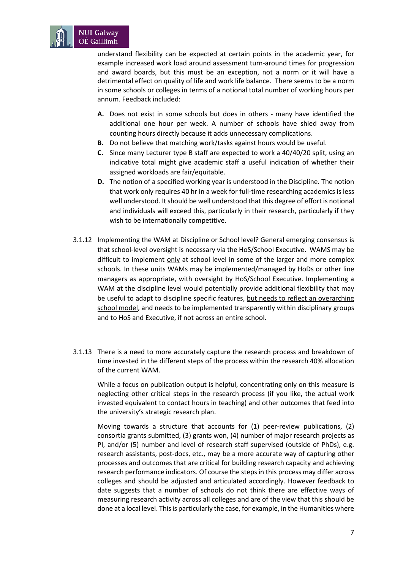

understand flexibility can be expected at certain points in the academic year, for example increased work load around assessment turn-around times for progression and award boards, but this must be an exception, not a norm or it will have a detrimental effect on quality of life and work life balance. There seems to be a norm in some schools or colleges in terms of a notional total number of working hours per annum. Feedback included:

- **A.** Does not exist in some schools but does in others many have identified the additional one hour per week. A number of schools have shied away from counting hours directly because it adds unnecessary complications.
- **B.** Do not believe that matching work/tasks against hours would be useful.
- **C.** Since many Lecturer type B staff are expected to work a 40/40/20 split, using an indicative total might give academic staff a useful indication of whether their assigned workloads are fair/equitable.
- **D.** The notion of a specified working year is understood in the Discipline. The notion that work only requires 40 hr in a week for full-time researching academics is less well understood. It should be well understood that this degree of effort is notional and individuals will exceed this, particularly in their research, particularly if they wish to be internationally competitive.
- 3.1.12 Implementing the WAM at Discipline or School level? General emerging consensus is that school-level oversight is necessary via the HoS/School Executive. WAMS may be difficult to implement only at school level in some of the larger and more complex schools. In these units WAMs may be implemented/managed by HoDs or other line managers as appropriate, with oversight by HoS/School Executive. Implementing a WAM at the discipline level would potentially provide additional flexibility that may be useful to adapt to discipline specific features, but needs to reflect an overarching school model, and needs to be implemented transparently within disciplinary groups and to HoS and Executive, if not across an entire school.
- 3.1.13 There is a need to more accurately capture the research process and breakdown of time invested in the different steps of the process within the research 40% allocation of the current WAM.

While a focus on publication output is helpful, concentrating only on this measure is neglecting other critical steps in the research process (if you like, the actual work invested equivalent to contact hours in teaching) and other outcomes that feed into the university's strategic research plan.

Moving towards a structure that accounts for (1) peer-review publications, (2) consortia grants submitted, (3) grants won, (4) number of major research projects as PI, and/or (5) number and level of research staff supervised (outside of PhDs), e.g. research assistants, post-docs, etc., may be a more accurate way of capturing other processes and outcomes that are critical for building research capacity and achieving research performance indicators. Of course the steps in this process may differ across colleges and should be adjusted and articulated accordingly. However feedback to date suggests that a number of schools do not think there are effective ways of measuring research activity across all colleges and are of the view that this should be done at a local level. This is particularly the case, for example, in the Humanities where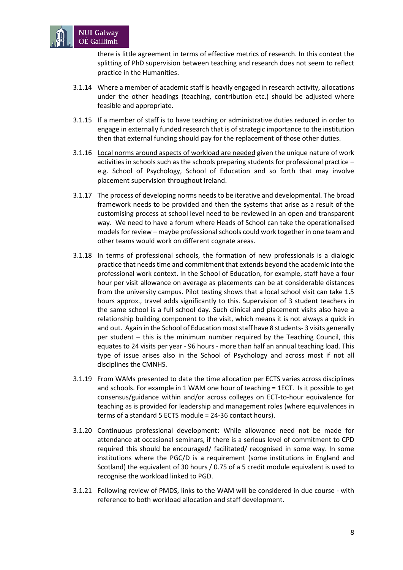

there is little agreement in terms of effective metrics of research. In this context the splitting of PhD supervision between teaching and research does not seem to reflect practice in the Humanities.

- 3.1.14 Where a member of academic staff is heavily engaged in research activity, allocations under the other headings (teaching, contribution etc.) should be adjusted where feasible and appropriate.
- 3.1.15 If a member of staff is to have teaching or administrative duties reduced in order to engage in externally funded research that is of strategic importance to the institution then that external funding should pay for the replacement of those other duties.
- 3.1.16 Local norms around aspects of workload are needed given the unique nature of work activities in schools such as the schools preparing students for professional practice – e.g. School of Psychology, School of Education and so forth that may involve placement supervision throughout Ireland.
- 3.1.17 The process of developing norms needs to be iterative and developmental. The broad framework needs to be provided and then the systems that arise as a result of the customising process at school level need to be reviewed in an open and transparent way. We need to have a forum where Heads of School can take the operationalised models for review – maybe professional schools could work together in one team and other teams would work on different cognate areas.
- 3.1.18 In terms of professional schools, the formation of new professionals is a dialogic practice that needs time and commitment that extends beyond the academic into the professional work context. In the School of Education, for example, staff have a four hour per visit allowance on average as placements can be at considerable distances from the university campus. Pilot testing shows that a local school visit can take 1.5 hours approx., travel adds significantly to this. Supervision of 3 student teachers in the same school is a full school day. Such clinical and placement visits also have a relationship building component to the visit, which means it is not always a quick in and out. Again in the School of Education most staff have 8 students- 3 visits generally per student – this is the minimum number required by the Teaching Council, this equates to 24 visits per year - 96 hours - more than half an annual teaching load. This type of issue arises also in the School of Psychology and across most if not all disciplines the CMNHS.
- 3.1.19 From WAMs presented to date the time allocation per ECTS varies across disciplines and schools. For example in 1 WAM one hour of teaching = 1ECT. Is it possible to get consensus/guidance within and/or across colleges on ECT-to-hour equivalence for teaching as is provided for leadership and management roles (where equivalences in terms of a standard 5 ECTS module = 24-36 contact hours).
- 3.1.20 Continuous professional development: While allowance need not be made for attendance at occasional seminars, if there is a serious level of commitment to CPD required this should be encouraged/ facilitated/ recognised in some way. In some institutions where the PGC/D is a requirement (some institutions in England and Scotland) the equivalent of 30 hours / 0.75 of a 5 credit module equivalent is used to recognise the workload linked to PGD.
- 3.1.21 Following review of PMDS, links to the WAM will be considered in due course with reference to both workload allocation and staff development.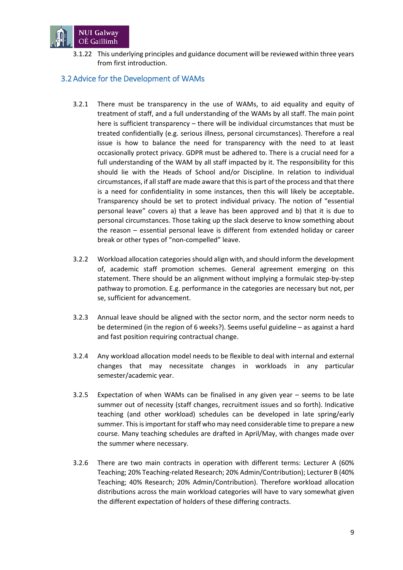

3.1.22 This underlying principles and guidance document will be reviewed within three years from first introduction.

#### 3.2 Advice for the Development of WAMs

- 3.2.1 There must be transparency in the use of WAMs, to aid equality and equity of treatment of staff, and a full understanding of the WAMs by all staff. The main point here is sufficient transparency – there will be individual circumstances that must be treated confidentially (e.g. serious illness, personal circumstances). Therefore a real issue is how to balance the need for transparency with the need to at least occasionally protect privacy. GDPR must be adhered to. There is a crucial need for a full understanding of the WAM by all staff impacted by it. The responsibility for this should lie with the Heads of School and/or Discipline. In relation to individual circumstances, if all staff are made aware that this is part of the process and that there is a need for confidentiality in some instances, then this will likely be acceptable**.** Transparency should be set to protect individual privacy. The notion of "essential personal leave" covers a) that a leave has been approved and b) that it is due to personal circumstances. Those taking up the slack deserve to know something about the reason – essential personal leave is different from extended holiday or career break or other types of "non-compelled" leave.
- 3.2.2 Workload allocation categories should align with, and should inform the development of, academic staff promotion schemes. General agreement emerging on this statement. There should be an alignment without implying a formulaic step-by-step pathway to promotion. E.g. performance in the categories are necessary but not, per se, sufficient for advancement.
- 3.2.3 Annual leave should be aligned with the sector norm, and the sector norm needs to be determined (in the region of 6 weeks?). Seems useful guideline – as against a hard and fast position requiring contractual change.
- 3.2.4 Any workload allocation model needs to be flexible to deal with internal and external changes that may necessitate changes in workloads in any particular semester/academic year.
- 3.2.5 Expectation of when WAMs can be finalised in any given year seems to be late summer out of necessity (staff changes, recruitment issues and so forth). Indicative teaching (and other workload) schedules can be developed in late spring/early summer. This is important for staff who may need considerable time to prepare a new course. Many teaching schedules are drafted in April/May, with changes made over the summer where necessary.
- 3.2.6 There are two main contracts in operation with different terms: Lecturer A (60% Teaching; 20% Teaching-related Research; 20% Admin/Contribution); Lecturer B (40% Teaching; 40% Research; 20% Admin/Contribution). Therefore workload allocation distributions across the main workload categories will have to vary somewhat given the different expectation of holders of these differing contracts.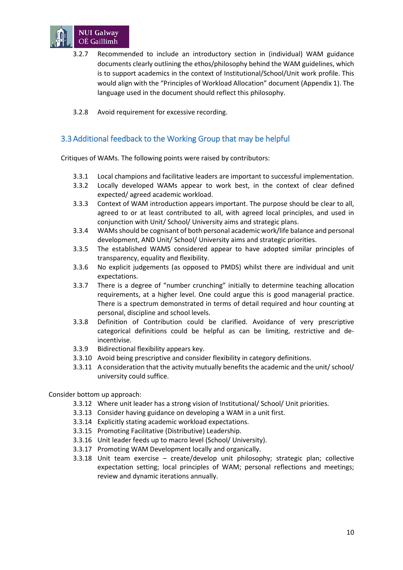

- 3.2.7 Recommended to include an introductory section in (individual) WAM guidance documents clearly outlining the ethos/philosophy behind the WAM guidelines, which is to support academics in the context of Institutional/School/Unit work profile. This would align with the "Principles of Workload Allocation" document (Appendix 1). The language used in the document should reflect this philosophy.
- 3.2.8 Avoid requirement for excessive recording.

#### 3.3 Additional feedback to the Working Group that may be helpful

Critiques of WAMs. The following points were raised by contributors:

- 3.3.1 Local champions and facilitative leaders are important to successful implementation.
- 3.3.2 Locally developed WAMs appear to work best, in the context of clear defined expected/ agreed academic workload.
- 3.3.3 Context of WAM introduction appears important. The purpose should be clear to all, agreed to or at least contributed to all, with agreed local principles, and used in conjunction with Unit/ School/ University aims and strategic plans.
- 3.3.4 WAMs should be cognisant of both personal academic work/life balance and personal development, AND Unit/ School/ University aims and strategic priorities.
- 3.3.5 The established WAMS considered appear to have adopted similar principles of transparency, equality and flexibility.
- 3.3.6 No explicit judgements (as opposed to PMDS) whilst there are individual and unit expectations.
- 3.3.7 There is a degree of "number crunching" initially to determine teaching allocation requirements, at a higher level. One could argue this is good managerial practice. There is a spectrum demonstrated in terms of detail required and hour counting at personal, discipline and school levels.
- 3.3.8 Definition of Contribution could be clarified. Avoidance of very prescriptive categorical definitions could be helpful as can be limiting, restrictive and deincentivise.
- 3.3.9 Bidirectional flexibility appears key.
- 3.3.10 Avoid being prescriptive and consider flexibility in category definitions.
- 3.3.11 A consideration that the activity mutually benefits the academic and the unit/ school/ university could suffice.

Consider bottom up approach:

- 3.3.12 Where unit leader has a strong vision of Institutional/ School/ Unit priorities.
- 3.3.13 Consider having guidance on developing a WAM in a unit first.
- 3.3.14 Explicitly stating academic workload expectations.
- 3.3.15 Promoting Facilitative (Distributive) Leadership.
- 3.3.16 Unit leader feeds up to macro level (School/ University).
- 3.3.17 Promoting WAM Development locally and organically.
- 3.3.18 Unit team exercise create/develop unit philosophy; strategic plan; collective expectation setting; local principles of WAM; personal reflections and meetings; review and dynamic iterations annually.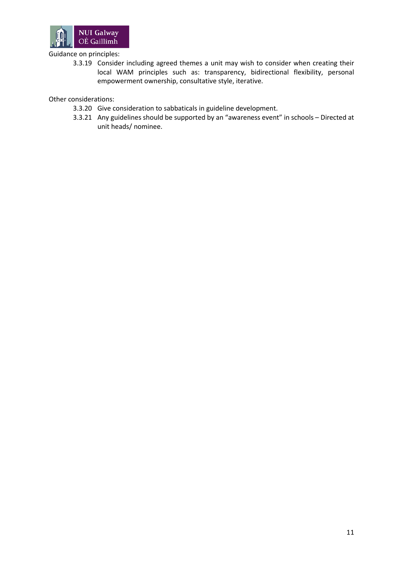

#### Guidance on principles:

3.3.19 Consider including agreed themes a unit may wish to consider when creating their local WAM principles such as: transparency, bidirectional flexibility, personal empowerment ownership, consultative style, iterative.

Other considerations:

- 3.3.20 Give consideration to sabbaticals in guideline development.
- 3.3.21 Any guidelines should be supported by an "awareness event" in schools Directed at unit heads/ nominee.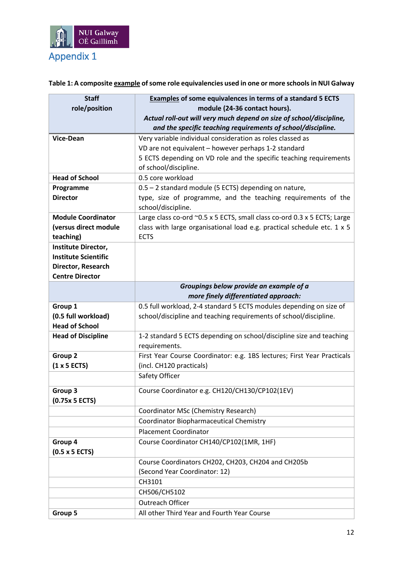

**Table 1: A composite example of some role equivalencies used in one or more schools in NUI Galway**

| <b>Staff</b>                                       | <b>Examples of some equivalences in terms of a standard 5 ECTS</b>       |
|----------------------------------------------------|--------------------------------------------------------------------------|
| role/position                                      | module (24-36 contact hours).                                            |
|                                                    | Actual roll-out will very much depend on size of school/discipline,      |
|                                                    | and the specific teaching requirements of school/discipline.             |
| <b>Vice-Dean</b>                                   | Very variable individual consideration as roles classed as               |
|                                                    | VD are not equivalent - however perhaps 1-2 standard                     |
|                                                    | 5 ECTS depending on VD role and the specific teaching requirements       |
|                                                    | of school/discipline.                                                    |
| <b>Head of School</b>                              | 0.5 core workload                                                        |
| Programme                                          | 0.5 - 2 standard module (5 ECTS) depending on nature,                    |
| <b>Director</b>                                    | type, size of programme, and the teaching requirements of the            |
|                                                    | school/discipline.                                                       |
| <b>Module Coordinator</b>                          | Large class co-ord ~0.5 x 5 ECTS, small class co-ord 0.3 x 5 ECTS; Large |
| (versus direct module                              | class with large organisational load e.g. practical schedule etc. 1 x 5  |
| teaching)                                          | <b>ECTS</b>                                                              |
| Institute Director,<br><b>Institute Scientific</b> |                                                                          |
| Director, Research                                 |                                                                          |
| <b>Centre Director</b>                             |                                                                          |
|                                                    | Groupings below provide an example of a                                  |
|                                                    | more finely differentiated approach:                                     |
| Group 1                                            | 0.5 full workload, 2-4 standard 5 ECTS modules depending on size of      |
| (0.5 full workload)                                | school/discipline and teaching requirements of school/discipline.        |
| <b>Head of School</b>                              |                                                                          |
| <b>Head of Discipline</b>                          | 1-2 standard 5 ECTS depending on school/discipline size and teaching     |
|                                                    | requirements.                                                            |
| Group 2                                            | First Year Course Coordinator: e.g. 1BS lectures; First Year Practicals  |
| (1 x 5 ECTS)                                       | (incl. CH120 practicals)                                                 |
|                                                    | Safety Officer                                                           |
| Group 3                                            | Course Coordinator e.g. CH120/CH130/CP102(1EV)                           |
| (0.75x 5 ECTS)                                     |                                                                          |
|                                                    | Coordinator MSc (Chemistry Research)                                     |
|                                                    | Coordinator Biopharmaceutical Chemistry                                  |
|                                                    | <b>Placement Coordinator</b>                                             |
| Group 4                                            | Course Coordinator CH140/CP102(1MR, 1HF)                                 |
| $(0.5 \times 5$ ECTS)                              |                                                                          |
|                                                    | Course Coordinators CH202, CH203, CH204 and CH205b                       |
|                                                    | (Second Year Coordinator: 12)                                            |
|                                                    | CH3101                                                                   |
|                                                    | CH506/CH5102                                                             |
|                                                    | Outreach Officer                                                         |
| Group 5                                            | All other Third Year and Fourth Year Course                              |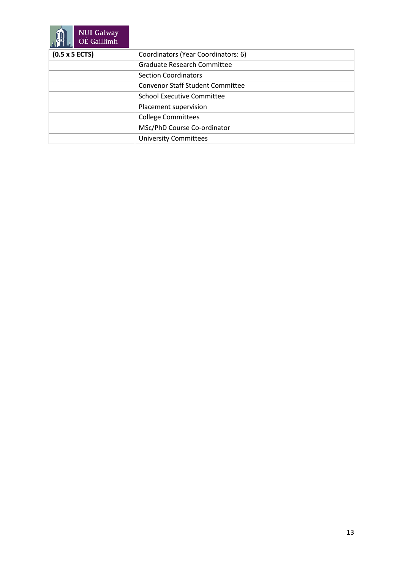| <b>NUI Galway</b><br>OÉ Gaillimh |                                         |
|----------------------------------|-----------------------------------------|
| $(0.5 \times 5$ ECTS)            | Coordinators (Year Coordinators: 6)     |
|                                  | <b>Graduate Research Committee</b>      |
|                                  | <b>Section Coordinators</b>             |
|                                  | <b>Convenor Staff Student Committee</b> |
|                                  | <b>School Executive Committee</b>       |
|                                  | Placement supervision                   |
|                                  | <b>College Committees</b>               |
|                                  | MSc/PhD Course Co-ordinator             |
|                                  | <b>University Committees</b>            |